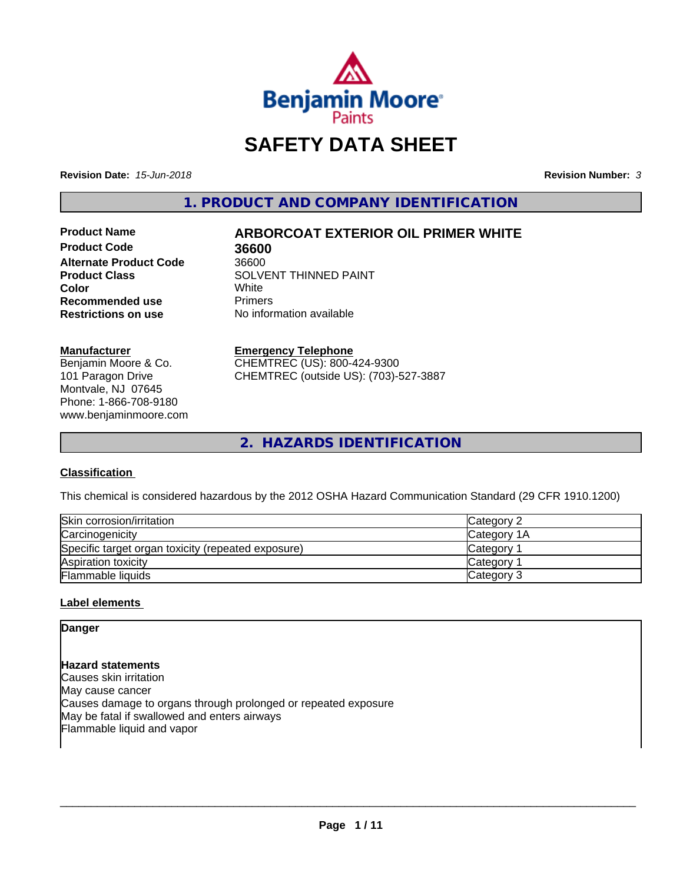

# **SAFETY DATA SHEET**

**Revision Date:** *15-Jun-2018* **Revision Number:** *3*

**1. PRODUCT AND COMPANY IDENTIFICATION**

**Product Code 36600 Alternate Product Code** 36600<br>Product Class 30LV **Recommended use The Primers<br>
<b>Restrictions on use** No infor

# **Product Name ARBORCOAT EXTERIOR OIL PRIMER WHITE**

**SOLVENT THINNED PAINT**<br>White **Color** White White **Restrictions on use** No information available

#### **Manufacturer**

Benjamin Moore & Co. 101 Paragon Drive Montvale, NJ 07645 Phone: 1-866-708-9180 www.benjaminmoore.com

#### **Emergency Telephone**

CHEMTREC (US): 800-424-9300 CHEMTREC (outside US): (703)-527-3887

**2. HAZARDS IDENTIFICATION**

# **Classification**

This chemical is considered hazardous by the 2012 OSHA Hazard Communication Standard (29 CFR 1910.1200)

| Skin corrosion/irritation                          | Category 2      |
|----------------------------------------------------|-----------------|
| Carcinogenicity                                    | Category 1A     |
| Specific target organ toxicity (repeated exposure) | <b>Category</b> |
| Aspiration toxicity                                | Category 1      |
| Flammable liquids                                  | Category 3      |

# **Label elements**

# **Danger**

**Hazard statements**

Causes skin irritation May cause cancer Causes damage to organs through prolonged or repeated exposure May be fatal if swallowed and enters airways Flammable liquid and vapor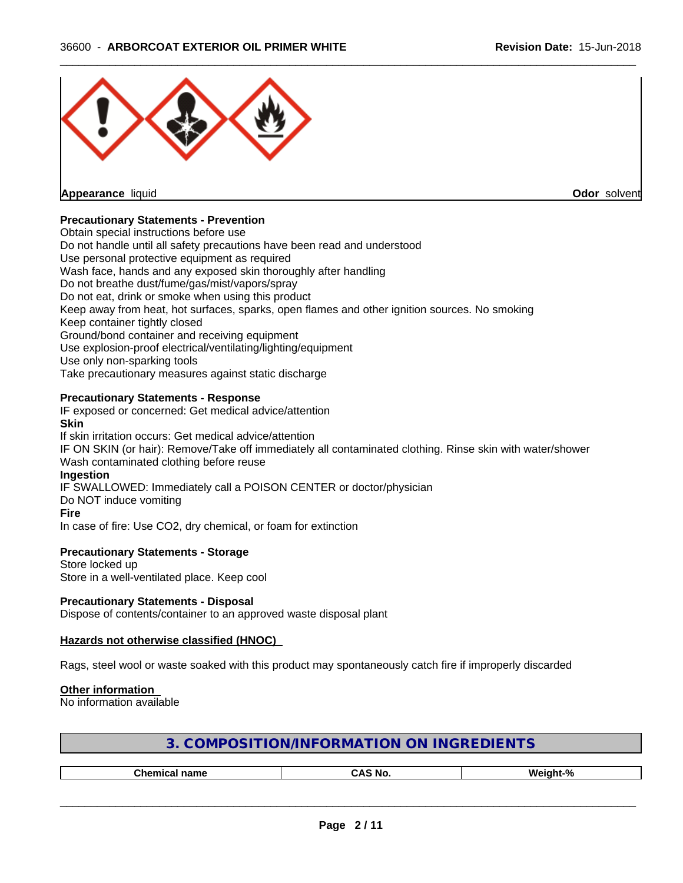

**Odor** solvent

# **Precautionary Statements - Prevention**

Obtain special instructions before use Do not handle until all safety precautions have been read and understood Use personal protective equipment as required Wash face, hands and any exposed skin thoroughly after handling Do not breathe dust/fume/gas/mist/vapors/spray Do not eat, drink or smoke when using this product Keep away from heat, hot surfaces, sparks, open flames and other ignition sources. No smoking Keep container tightly closed Ground/bond container and receiving equipment Use explosion-proof electrical/ventilating/lighting/equipment Use only non-sparking tools Take precautionary measures against static discharge

## **Precautionary Statements - Response**

IF exposed or concerned: Get medical advice/attention **Skin** If skin irritation occurs: Get medical advice/attention IF ON SKIN (or hair): Remove/Take off immediately all contaminated clothing. Rinse skin with water/shower Wash contaminated clothing before reuse **Ingestion** IF SWALLOWED: Immediately call a POISON CENTER or doctor/physician Do NOT induce vomiting **Fire** In case of fire: Use CO2, dry chemical, or foam for extinction

# **Precautionary Statements - Storage**

Store locked up Store in a well-ventilated place. Keep cool

#### **Precautionary Statements - Disposal**

Dispose of contents/container to an approved waste disposal plant

#### **Hazards not otherwise classified (HNOC)**

Rags, steel wool or waste soaked with this product may spontaneously catch fire if improperly discarded

#### **Other information**

No information available

# **3. COMPOSITION/INFORMATION ON INGREDIENTS**

| name<br>$\sqrt{2}$ |
|--------------------|
|--------------------|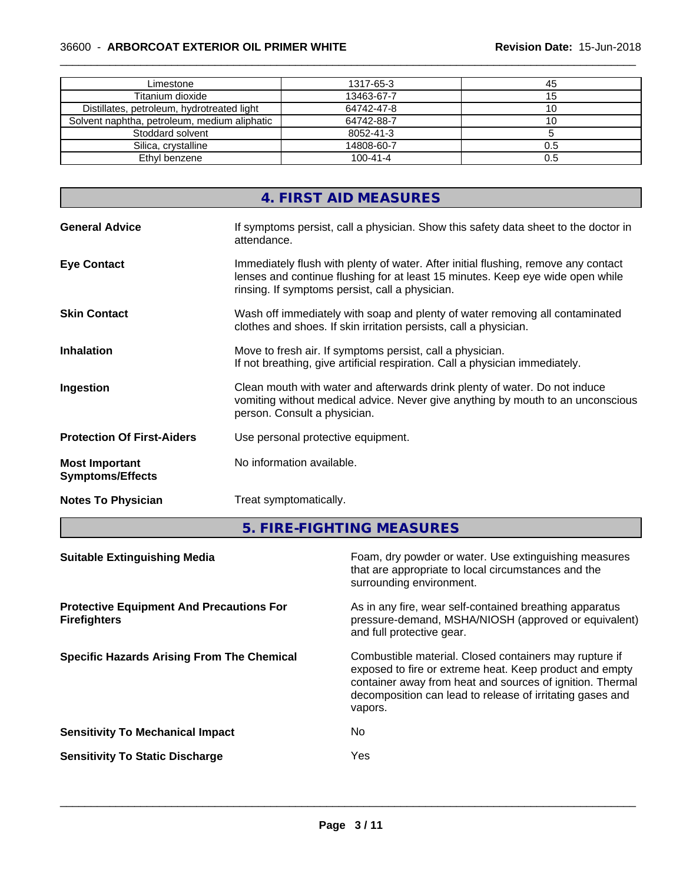| Limestone                                    | 1317-65-3      | 45  |
|----------------------------------------------|----------------|-----|
| Titanium dioxide                             | 13463-67-7     |     |
| Distillates, petroleum, hydrotreated light   | 64742-47-8     |     |
| Solvent naphtha, petroleum, medium aliphatic | 64742-88-7     |     |
| Stoddard solvent                             | 8052-41-3      |     |
| Silica, crystalline                          | 14808-60-7     | 0.5 |
| Ethyl benzene                                | $100 - 41 - 4$ | 0.5 |

|                                                  | 4. FIRST AID MEASURES                                                                                                                                                                                                   |
|--------------------------------------------------|-------------------------------------------------------------------------------------------------------------------------------------------------------------------------------------------------------------------------|
| <b>General Advice</b>                            | If symptoms persist, call a physician. Show this safety data sheet to the doctor in<br>attendance.                                                                                                                      |
| <b>Eye Contact</b>                               | Immediately flush with plenty of water. After initial flushing, remove any contact<br>lenses and continue flushing for at least 15 minutes. Keep eye wide open while<br>rinsing. If symptoms persist, call a physician. |
| <b>Skin Contact</b>                              | Wash off immediately with soap and plenty of water removing all contaminated<br>clothes and shoes. If skin irritation persists, call a physician.                                                                       |
| <b>Inhalation</b>                                | Move to fresh air. If symptoms persist, call a physician.<br>If not breathing, give artificial respiration. Call a physician immediately.                                                                               |
| Ingestion                                        | Clean mouth with water and afterwards drink plenty of water. Do not induce<br>vomiting without medical advice. Never give anything by mouth to an unconscious<br>person. Consult a physician.                           |
| <b>Protection Of First-Aiders</b>                | Use personal protective equipment.                                                                                                                                                                                      |
| <b>Most Important</b><br><b>Symptoms/Effects</b> | No information available.                                                                                                                                                                                               |
| <b>Notes To Physician</b>                        | Treat symptomatically.                                                                                                                                                                                                  |
|                                                  |                                                                                                                                                                                                                         |

**5. FIRE-FIGHTING MEASURES**

| <b>Suitable Extinguishing Media</b>                                    | Foam, dry powder or water. Use extinguishing measures<br>that are appropriate to local circumstances and the<br>surrounding environment.                                                                                                               |
|------------------------------------------------------------------------|--------------------------------------------------------------------------------------------------------------------------------------------------------------------------------------------------------------------------------------------------------|
| <b>Protective Equipment And Precautions For</b><br><b>Firefighters</b> | As in any fire, wear self-contained breathing apparatus<br>pressure-demand, MSHA/NIOSH (approved or equivalent)<br>and full protective gear.                                                                                                           |
| <b>Specific Hazards Arising From The Chemical</b>                      | Combustible material. Closed containers may rupture if<br>exposed to fire or extreme heat. Keep product and empty<br>container away from heat and sources of ignition. Thermal<br>decomposition can lead to release of irritating gases and<br>vapors. |
| <b>Sensitivity To Mechanical Impact</b>                                | No.                                                                                                                                                                                                                                                    |
| <b>Sensitivity To Static Discharge</b>                                 | Yes                                                                                                                                                                                                                                                    |
|                                                                        |                                                                                                                                                                                                                                                        |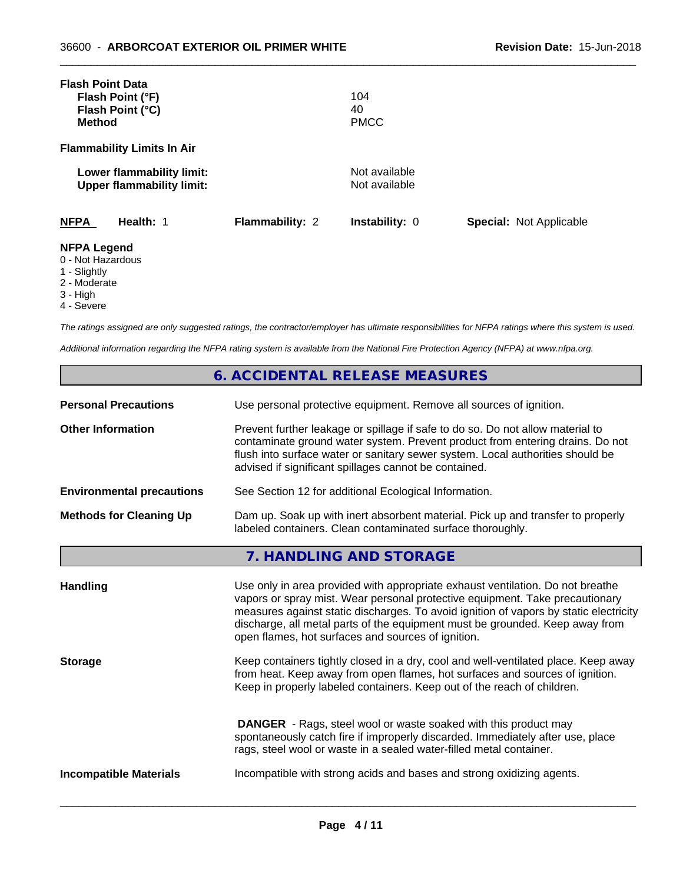| <b>Flash Point Data</b><br>Flash Point (°F)<br>Flash Point (°C)<br><b>Method</b> |                        | 104<br>40<br><b>PMCC</b>       |                                |
|----------------------------------------------------------------------------------|------------------------|--------------------------------|--------------------------------|
| <b>Flammability Limits In Air</b>                                                |                        |                                |                                |
| Lower flammability limit:<br><b>Upper flammability limit:</b>                    |                        | Not available<br>Not available |                                |
| <b>NFPA</b><br>Health: 1                                                         | <b>Flammability: 2</b> | <b>Instability: 0</b>          | <b>Special: Not Applicable</b> |
| <b>NFPA Legend</b><br>0 - Not Hazardous<br>1 - Slightly                          |                        |                                |                                |

2 - Moderate

3 - High

4 - Severe

*The ratings assigned are only suggested ratings, the contractor/employer has ultimate responsibilities for NFPA ratings where this system is used.*

*Additional information regarding the NFPA rating system is available from the National Fire Protection Agency (NFPA) at www.nfpa.org.*

# **6. ACCIDENTAL RELEASE MEASURES**

| Use personal protective equipment. Remove all sources of ignition.                                                                                                                                                                                                                                                                                                                            |
|-----------------------------------------------------------------------------------------------------------------------------------------------------------------------------------------------------------------------------------------------------------------------------------------------------------------------------------------------------------------------------------------------|
| Prevent further leakage or spillage if safe to do so. Do not allow material to<br>contaminate ground water system. Prevent product from entering drains. Do not<br>flush into surface water or sanitary sewer system. Local authorities should be<br>advised if significant spillages cannot be contained.                                                                                    |
| See Section 12 for additional Ecological Information.                                                                                                                                                                                                                                                                                                                                         |
| Dam up. Soak up with inert absorbent material. Pick up and transfer to properly<br>labeled containers. Clean contaminated surface thoroughly.                                                                                                                                                                                                                                                 |
| 7. HANDLING AND STORAGE                                                                                                                                                                                                                                                                                                                                                                       |
| Use only in area provided with appropriate exhaust ventilation. Do not breathe<br>vapors or spray mist. Wear personal protective equipment. Take precautionary<br>measures against static discharges. To avoid ignition of vapors by static electricity<br>discharge, all metal parts of the equipment must be grounded. Keep away from<br>open flames, hot surfaces and sources of ignition. |
| Keep containers tightly closed in a dry, cool and well-ventilated place. Keep away<br>from heat. Keep away from open flames, hot surfaces and sources of ignition.<br>Keep in properly labeled containers. Keep out of the reach of children.                                                                                                                                                 |
| <b>DANGER</b> - Rags, steel wool or waste soaked with this product may<br>spontaneously catch fire if improperly discarded. Immediately after use, place<br>rags, steel wool or waste in a sealed water-filled metal container.                                                                                                                                                               |
|                                                                                                                                                                                                                                                                                                                                                                                               |
|                                                                                                                                                                                                                                                                                                                                                                                               |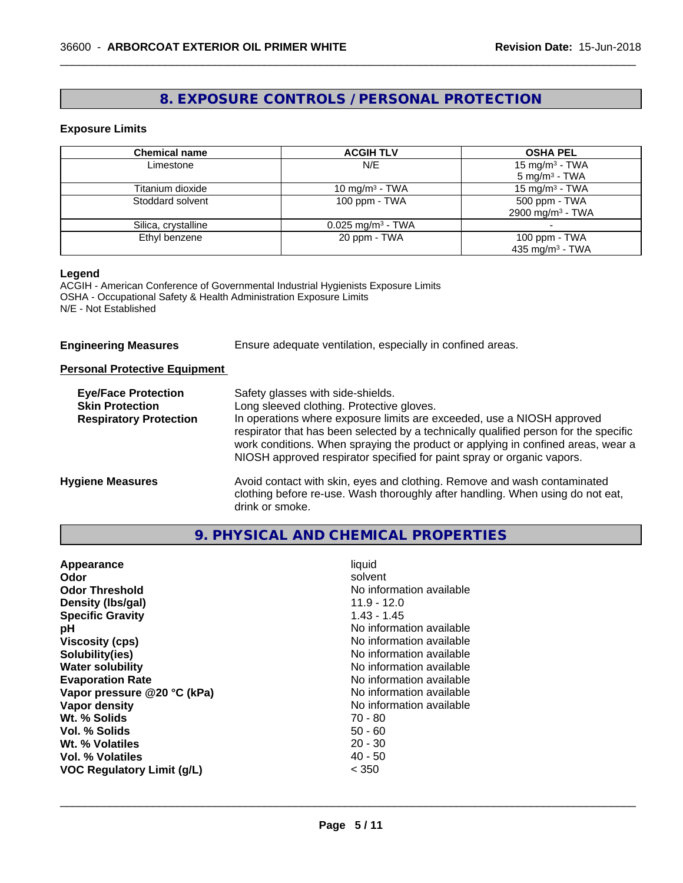# **8. EXPOSURE CONTROLS / PERSONAL PROTECTION**

 $\overline{\phantom{a}}$  ,  $\overline{\phantom{a}}$  ,  $\overline{\phantom{a}}$  ,  $\overline{\phantom{a}}$  ,  $\overline{\phantom{a}}$  ,  $\overline{\phantom{a}}$  ,  $\overline{\phantom{a}}$  ,  $\overline{\phantom{a}}$  ,  $\overline{\phantom{a}}$  ,  $\overline{\phantom{a}}$  ,  $\overline{\phantom{a}}$  ,  $\overline{\phantom{a}}$  ,  $\overline{\phantom{a}}$  ,  $\overline{\phantom{a}}$  ,  $\overline{\phantom{a}}$  ,  $\overline{\phantom{a}}$ 

#### **Exposure Limits**

| <b>Chemical name</b> | <b>ACGIH TLV</b>                | <b>OSHA PEL</b>              |
|----------------------|---------------------------------|------------------------------|
| Limestone            | N/E                             | 15 mg/m <sup>3</sup> - TWA   |
|                      |                                 | $5 \text{ mg/m}^3$ - TWA     |
| Titanium dioxide     | 10 mg/m <sup>3</sup> - TWA      | 15 mg/m $3$ - TWA            |
| Stoddard solvent     | 100 ppm - $TWA$                 | 500 ppm - TWA                |
|                      |                                 | 2900 mg/m <sup>3</sup> - TWA |
| Silica, crystalline  | $0.025$ mg/m <sup>3</sup> - TWA |                              |
| Ethyl benzene        | 20 ppm - TWA                    | 100 ppm - TWA                |
|                      |                                 | 435 mg/m $3$ - TWA           |

#### **Legend**

ACGIH - American Conference of Governmental Industrial Hygienists Exposure Limits OSHA - Occupational Safety & Health Administration Exposure Limits N/E - Not Established

| Ensure adequate ventilation, especially in confined areas.<br><b>Engineering Measures</b> |                                                                                |
|-------------------------------------------------------------------------------------------|--------------------------------------------------------------------------------|
| <b>Personal Protective Equipment</b>                                                      |                                                                                |
| <b>Eye/Face Protection</b><br><b>Skin Protection</b>                                      | Safety glasses with side-shields.<br>Long sleeved clothing. Protective gloves. |

| <b>Respiratory Protection</b> | In operations where exposure limits are exceeded, use a NIOSH approved<br>respirator that has been selected by a technically qualified person for the specific<br>work conditions. When spraying the product or applying in confined areas, wear a<br>NIOSH approved respirator specified for paint spray or organic vapors. |
|-------------------------------|------------------------------------------------------------------------------------------------------------------------------------------------------------------------------------------------------------------------------------------------------------------------------------------------------------------------------|
| <b>Hygiene Measures</b>       | Avoid contact with skin, eyes and clothing. Remove and wash contaminated<br>clothing before re-use. Wash thoroughly after handling. When using do not eat,                                                                                                                                                                   |

| 9. PHYSICAL AND CHEMICAL PROPERTIES |  |
|-------------------------------------|--|
|-------------------------------------|--|

| Appearance                        | liquid                   |
|-----------------------------------|--------------------------|
| Odor                              | solvent                  |
| <b>Odor Threshold</b>             | No information available |
| Density (Ibs/gal)                 | $11.9 - 12.0$            |
| <b>Specific Gravity</b>           | $1.43 - 1.45$            |
| рH                                | No information available |
| <b>Viscosity (cps)</b>            | No information available |
| Solubility(ies)                   | No information available |
| <b>Water solubility</b>           | No information available |
| <b>Evaporation Rate</b>           | No information available |
| Vapor pressure @20 °C (kPa)       | No information available |
| Vapor density                     | No information available |
| Wt. % Solids                      | 70 - 80                  |
| Vol. % Solids                     | $50 - 60$                |
| Wt. % Volatiles                   | $20 - 30$                |
| Vol. % Volatiles                  | $40 - 50$                |
| <b>VOC Regulatory Limit (g/L)</b> | < 350                    |

drink or smoke.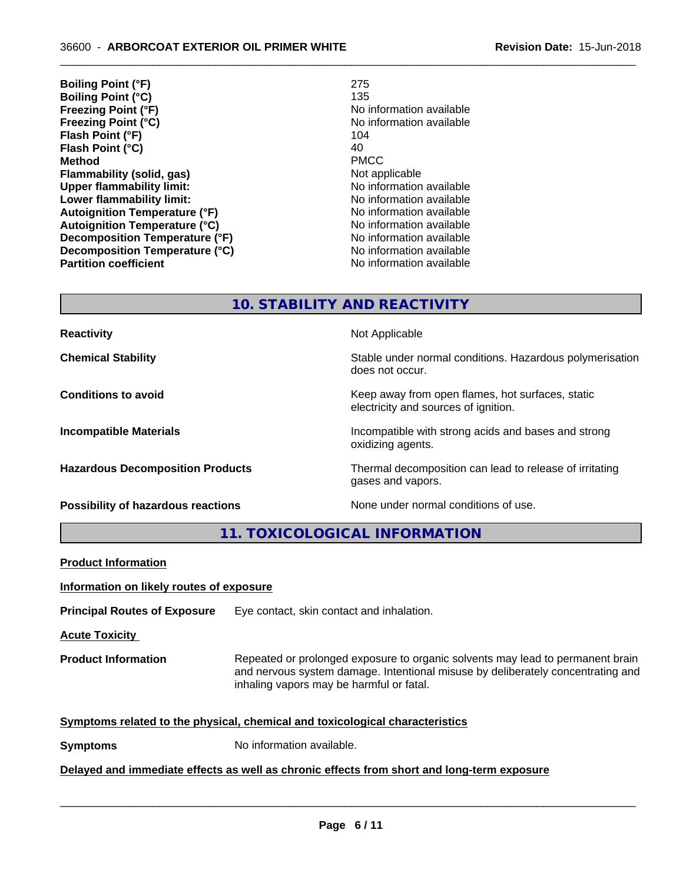- **Boiling Point (°F)** 275 **Boiling Point (°C)** 135<br> **Freezing Point (°F)** No i **Freezing Point (°F)**<br> **Freezing Point (°C)**<br> **Freezing Point (°C)**<br> **Reezing Point (°C)**<br> **Reezing Point (°C) Flash Point (°F)** 104<br> **Flash Point (°C)** 104 **Flash Point (°C)** 40<br> **Method** PMCC **Method** PMCC **Flammability (solid, gas)**<br> **Commability limit:**<br>
Unity and the Montenation available **Upper flammability limit:**<br> **Lower flammability limit:** No information available<br>
No information available **Lower flammability limit:** Autoignition Temperature (°F)<br>
Autoignition Temperature (°C)<br>
No information available **Autoignition Temperature (°C) Decomposition Temperature (°F)** No information available **Decomposition Temperature (°C)**<br> **Partition coefficient Partition coefficient Partition coefficient Partition coefficient Partition coefficient Partition coefficient Partition coefficient Partition coefficie** 
	- **No information available**<br>104 **No information available**

**10. STABILITY AND REACTIVITY**

| <b>Reactivity</b>                       | Not Applicable                                                                           |
|-----------------------------------------|------------------------------------------------------------------------------------------|
| <b>Chemical Stability</b>               | Stable under normal conditions. Hazardous polymerisation<br>does not occur.              |
| <b>Conditions to avoid</b>              | Keep away from open flames, hot surfaces, static<br>electricity and sources of ignition. |
| <b>Incompatible Materials</b>           | Incompatible with strong acids and bases and strong<br>oxidizing agents.                 |
| <b>Hazardous Decomposition Products</b> | Thermal decomposition can lead to release of irritating<br>gases and vapors.             |
| Possibility of hazardous reactions      | None under normal conditions of use.                                                     |

|                                          | 11. TOXICOLOGICAL INFORMATION                                                                                                                                                                                 |
|------------------------------------------|---------------------------------------------------------------------------------------------------------------------------------------------------------------------------------------------------------------|
| <b>Product Information</b>               |                                                                                                                                                                                                               |
| Information on likely routes of exposure |                                                                                                                                                                                                               |
| <b>Principal Routes of Exposure</b>      | Eye contact, skin contact and inhalation.                                                                                                                                                                     |
| <b>Acute Toxicity</b>                    |                                                                                                                                                                                                               |
| <b>Product Information</b>               | Repeated or prolonged exposure to organic solvents may lead to permanent brain<br>and nervous system damage. Intentional misuse by deliberately concentrating and<br>inhaling vapors may be harmful or fatal. |
|                                          | Symptoms related to the physical, chemical and toxicological characteristics                                                                                                                                  |
| <b>Symptoms</b>                          | No information available.                                                                                                                                                                                     |
|                                          | Delayed and immediate effects as well as chronic effects from short and long-term exposure                                                                                                                    |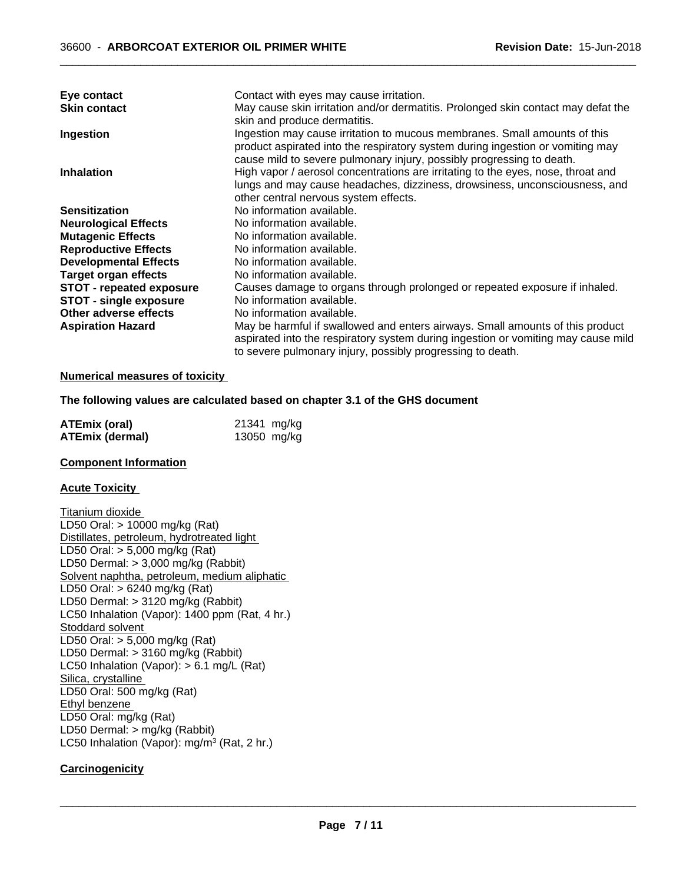| Eye contact                     | Contact with eyes may cause irritation.                                                                                                                                                                                          |
|---------------------------------|----------------------------------------------------------------------------------------------------------------------------------------------------------------------------------------------------------------------------------|
| <b>Skin contact</b>             | May cause skin irritation and/or dermatitis. Prolonged skin contact may defat the<br>skin and produce dermatitis.                                                                                                                |
| Ingestion                       | Ingestion may cause irritation to mucous membranes. Small amounts of this<br>product aspirated into the respiratory system during ingestion or vomiting may                                                                      |
|                                 | cause mild to severe pulmonary injury, possibly progressing to death.                                                                                                                                                            |
| <b>Inhalation</b>               | High vapor / aerosol concentrations are irritating to the eyes, nose, throat and<br>lungs and may cause headaches, dizziness, drowsiness, unconsciousness, and                                                                   |
|                                 | other central nervous system effects.                                                                                                                                                                                            |
| <b>Sensitization</b>            | No information available.                                                                                                                                                                                                        |
| <b>Neurological Effects</b>     | No information available.                                                                                                                                                                                                        |
| <b>Mutagenic Effects</b>        | No information available.                                                                                                                                                                                                        |
| <b>Reproductive Effects</b>     | No information available.                                                                                                                                                                                                        |
| <b>Developmental Effects</b>    | No information available.                                                                                                                                                                                                        |
| Target organ effects            | No information available.                                                                                                                                                                                                        |
| <b>STOT - repeated exposure</b> | Causes damage to organs through prolonged or repeated exposure if inhaled.                                                                                                                                                       |
| <b>STOT - single exposure</b>   | No information available.                                                                                                                                                                                                        |
| Other adverse effects           | No information available.                                                                                                                                                                                                        |
| <b>Aspiration Hazard</b>        | May be harmful if swallowed and enters airways. Small amounts of this product<br>aspirated into the respiratory system during ingestion or vomiting may cause mild<br>to severe pulmonary injury, possibly progressing to death. |

#### **Numerical measures of toxicity**

**The following values are calculated based on chapter 3.1 of the GHS document**

| <b>ATEmix (oral)</b>   | 21341 mg/kg |
|------------------------|-------------|
| <b>ATEmix (dermal)</b> | 13050 mg/kg |

#### **Component Information**

#### **Acute Toxicity**

Titanium dioxide LD50 Oral: > 10000 mg/kg (Rat) Distillates, petroleum, hydrotreated light LD50 Oral: > 5,000 mg/kg (Rat) LD50 Dermal: > 3,000 mg/kg (Rabbit) Solvent naphtha, petroleum, medium aliphatic LD50 Oral: > 6240 mg/kg (Rat) LD50 Dermal: > 3120 mg/kg (Rabbit) LC50 Inhalation (Vapor): 1400 ppm (Rat, 4 hr.) Stoddard solvent LD50 Oral: > 5,000 mg/kg (Rat) LD50 Dermal: > 3160 mg/kg (Rabbit) LC50 Inhalation (Vapor): > 6.1 mg/L (Rat) Silica, crystalline LD50 Oral: 500 mg/kg (Rat) Ethyl benzene LD50 Oral: mg/kg (Rat) LD50 Dermal: > mg/kg (Rabbit) LC50 Inhalation (Vapor): mg/m<sup>3</sup> (Rat, 2 hr.)

#### **Carcinogenicity**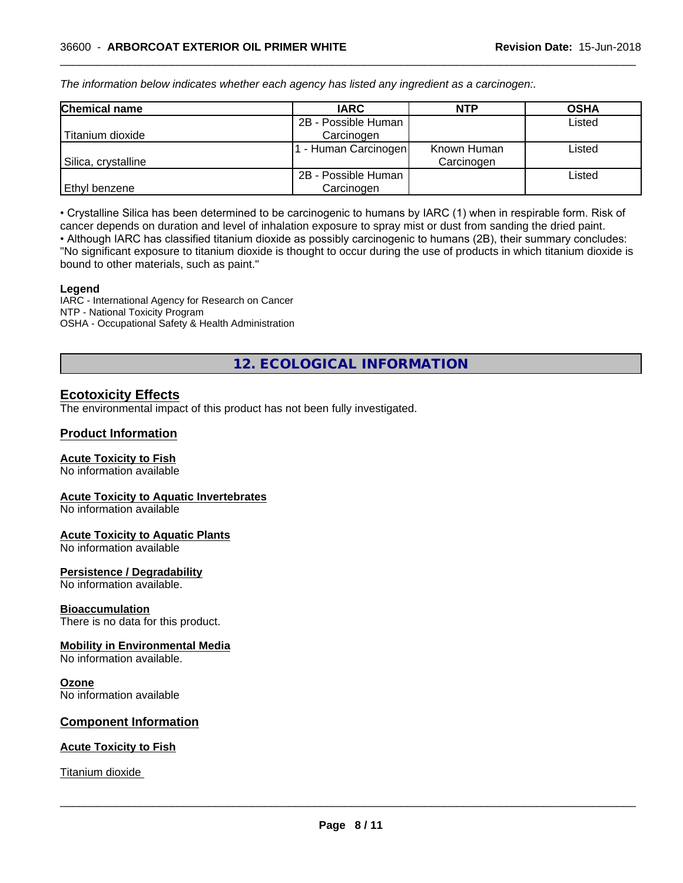*The information below indicateswhether each agency has listed any ingredient as a carcinogen:.*

| <b>Chemical name</b> | <b>IARC</b>         | <b>NTP</b>  | <b>OSHA</b> |
|----------------------|---------------------|-------------|-------------|
|                      | 2B - Possible Human |             | Listed      |
| Titanium dioxide     | Carcinogen          |             |             |
|                      | - Human Carcinogen  | Known Human | Listed      |
| Silica, crystalline  |                     | Carcinogen  |             |
|                      | 2B - Possible Human |             | Listed      |
| Ethyl benzene        | Carcinogen          |             |             |

 $\overline{\phantom{a}}$  ,  $\overline{\phantom{a}}$  ,  $\overline{\phantom{a}}$  ,  $\overline{\phantom{a}}$  ,  $\overline{\phantom{a}}$  ,  $\overline{\phantom{a}}$  ,  $\overline{\phantom{a}}$  ,  $\overline{\phantom{a}}$  ,  $\overline{\phantom{a}}$  ,  $\overline{\phantom{a}}$  ,  $\overline{\phantom{a}}$  ,  $\overline{\phantom{a}}$  ,  $\overline{\phantom{a}}$  ,  $\overline{\phantom{a}}$  ,  $\overline{\phantom{a}}$  ,  $\overline{\phantom{a}}$ 

• Crystalline Silica has been determined to be carcinogenic to humans by IARC (1) when in respirable form. Risk of cancer depends on duration and level of inhalation exposure to spray mist or dust from sanding the dried paint.• Although IARC has classified titanium dioxide as possibly carcinogenic to humans (2B), their summary concludes: "No significant exposure to titanium dioxide is thought to occur during the use of products in which titanium dioxide is bound to other materials, such as paint."

#### **Legend**

IARC - International Agency for Research on Cancer NTP - National Toxicity Program OSHA - Occupational Safety & Health Administration

**12. ECOLOGICAL INFORMATION**

# **Ecotoxicity Effects**

The environmental impact of this product has not been fully investigated.

#### **Product Information**

# **Acute Toxicity to Fish**

No information available

#### **Acute Toxicity to Aquatic Invertebrates**

No information available

#### **Acute Toxicity to Aquatic Plants**

No information available

#### **Persistence / Degradability**

No information available.

#### **Bioaccumulation**

There is no data for this product.

#### **Mobility in Environmental Media**

No information available.

#### **Ozone**

No information available

#### **Component Information**

#### **Acute Toxicity to Fish**

Titanium dioxide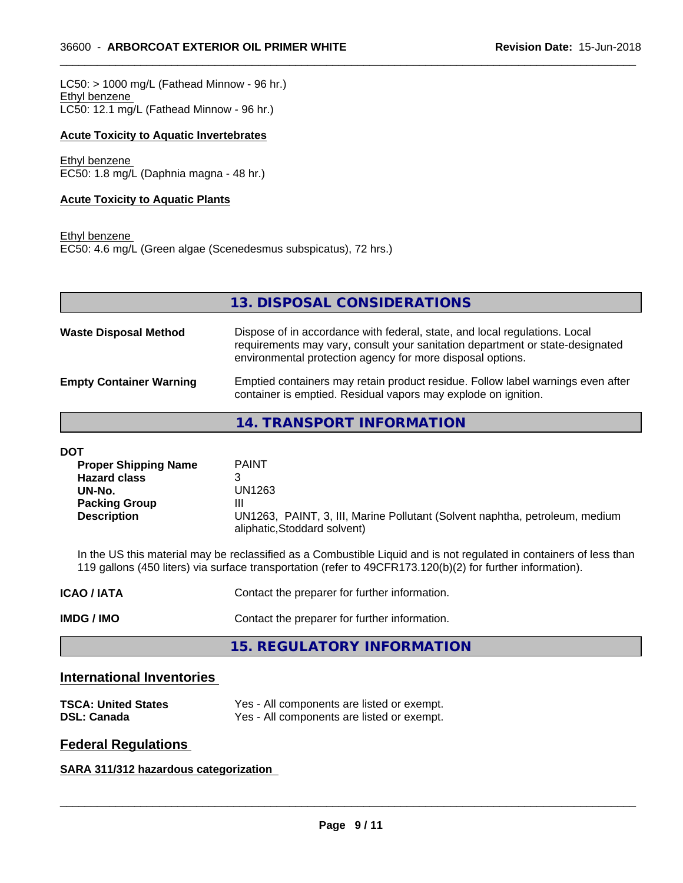$LC50:$  > 1000 mg/L (Fathead Minnow - 96 hr.) Ethyl benzene LC50: 12.1 mg/L (Fathead Minnow - 96 hr.)

#### **Acute Toxicity to Aquatic Invertebrates**

Ethyl benzene EC50: 1.8 mg/L (Daphnia magna - 48 hr.)

### **Acute Toxicity to Aquatic Plants**

Ethyl benzene EC50: 4.6 mg/L (Green algae (Scenedesmus subspicatus), 72 hrs.)

| 13. DISPOSAL CONSIDERATIONS                                                                                                                                                                                               |
|---------------------------------------------------------------------------------------------------------------------------------------------------------------------------------------------------------------------------|
| Dispose of in accordance with federal, state, and local regulations. Local<br>requirements may vary, consult your sanitation department or state-designated<br>environmental protection agency for more disposal options. |
| Emptied containers may retain product residue. Follow label warnings even after<br>container is emptied. Residual vapors may explode on ignition.                                                                         |
|                                                                                                                                                                                                                           |

 $\overline{\phantom{a}}$  ,  $\overline{\phantom{a}}$  ,  $\overline{\phantom{a}}$  ,  $\overline{\phantom{a}}$  ,  $\overline{\phantom{a}}$  ,  $\overline{\phantom{a}}$  ,  $\overline{\phantom{a}}$  ,  $\overline{\phantom{a}}$  ,  $\overline{\phantom{a}}$  ,  $\overline{\phantom{a}}$  ,  $\overline{\phantom{a}}$  ,  $\overline{\phantom{a}}$  ,  $\overline{\phantom{a}}$  ,  $\overline{\phantom{a}}$  ,  $\overline{\phantom{a}}$  ,  $\overline{\phantom{a}}$ 

**14. TRANSPORT INFORMATION**

#### **DOT**

| ັ                           |                                                                             |
|-----------------------------|-----------------------------------------------------------------------------|
| <b>Proper Shipping Name</b> | <b>PAINT</b>                                                                |
| <b>Hazard class</b>         |                                                                             |
| UN-No.                      | UN1263                                                                      |
| <b>Packing Group</b>        | Ш                                                                           |
| <b>Description</b>          | UN1263, PAINT, 3, III, Marine Pollutant (Solvent naphtha, petroleum, medium |
|                             | aliphatic, Stoddard solvent)                                                |

In the US this material may be reclassified as a Combustible Liquid and is not regulated in containers of less than 119 gallons (450 liters) via surface transportation (refer to 49CFR173.120(b)(2) for further information).

| Contact the preparer for further information.<br>ICAO / IATA |                                               |
|--------------------------------------------------------------|-----------------------------------------------|
| IMDG / IMO                                                   | Contact the preparer for further information. |
|                                                              | 15. REGULATORY INFORMATION                    |

# **International Inventories**

| <b>TSCA: United States</b> | Yes - All components are listed or exempt. |
|----------------------------|--------------------------------------------|
| <b>DSL: Canada</b>         | Yes - All components are listed or exempt. |

# **Federal Regulations**

**SARA 311/312 hazardous categorization**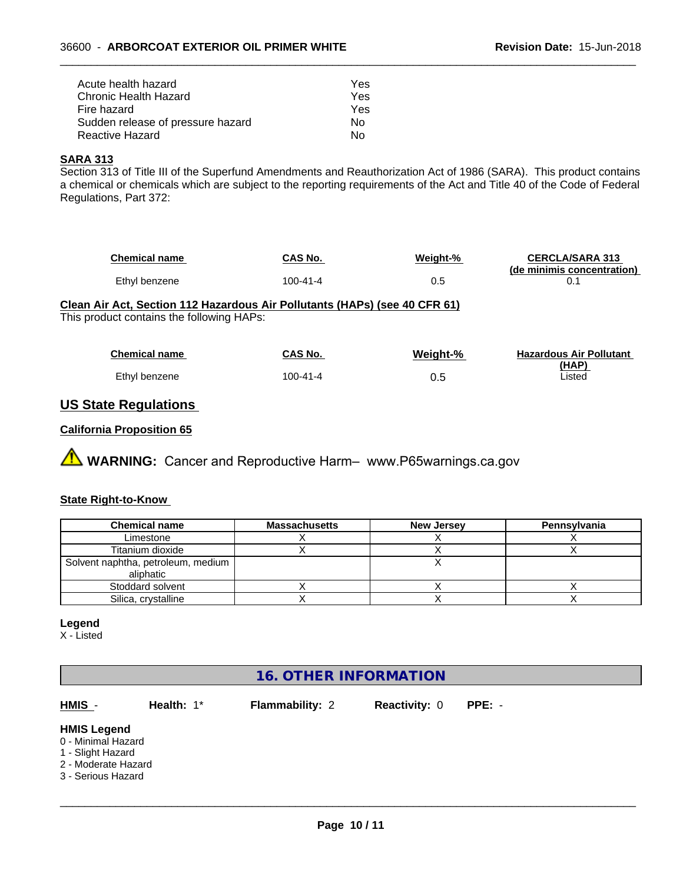| Acute health hazard               | Yes |  |
|-----------------------------------|-----|--|
| Chronic Health Hazard             | Yes |  |
| Fire hazard                       | Yes |  |
| Sudden release of pressure hazard | Nο  |  |
| Reactive Hazard                   | Nο  |  |

#### **SARA 313**

Section 313 of Title III of the Superfund Amendments and Reauthorization Act of 1986 (SARA). This product contains a chemical or chemicals which are subject to the reporting requirements of the Act and Title 40 of the Code of Federal Regulations, Part 372:

| <b>Chemical name</b> | CAS No.  | Weight-% | <b>CERCLA/SARA 313</b>     |
|----------------------|----------|----------|----------------------------|
|                      |          |          | (de minimis concentration) |
| Ethyl benzene        | 100-41-4 | U.J      |                            |

 $\overline{\phantom{a}}$  ,  $\overline{\phantom{a}}$  ,  $\overline{\phantom{a}}$  ,  $\overline{\phantom{a}}$  ,  $\overline{\phantom{a}}$  ,  $\overline{\phantom{a}}$  ,  $\overline{\phantom{a}}$  ,  $\overline{\phantom{a}}$  ,  $\overline{\phantom{a}}$  ,  $\overline{\phantom{a}}$  ,  $\overline{\phantom{a}}$  ,  $\overline{\phantom{a}}$  ,  $\overline{\phantom{a}}$  ,  $\overline{\phantom{a}}$  ,  $\overline{\phantom{a}}$  ,  $\overline{\phantom{a}}$ 

# **Clean Air Act,Section 112 Hazardous Air Pollutants (HAPs) (see 40 CFR 61)**

This product contains the following HAPs:

| <b>Chemical name</b> | CAS No.  | Weight-% | <b>Hazardous Air Pollutant</b> |
|----------------------|----------|----------|--------------------------------|
|                      |          |          | (HAP)                          |
| Ethyl benzene        | 100-41-4 | ບ.ບ      | ∟isted                         |

# **US State Regulations**

#### **California Proposition 65**

**AVIMARNING:** Cancer and Reproductive Harm– www.P65warnings.ca.gov

#### **State Right-to-Know**

| <b>Chemical name</b>                            | <b>Massachusetts</b> | <b>New Jersey</b> | Pennsylvania |
|-------------------------------------------------|----------------------|-------------------|--------------|
| Limestone                                       |                      |                   |              |
| Titanium dioxide                                |                      |                   |              |
| Solvent naphtha, petroleum, medium<br>aliphatic |                      |                   |              |
| Stoddard solvent                                |                      |                   |              |
| Silica, crystalline                             |                      |                   |              |

#### **Legend**

X - Listed

# **16. OTHER INFORMATION HMIS** - **Health:** 1\* **Flammability:** 2 **Reactivity:** 0 **PPE:** -  $\overline{\phantom{a}}$  ,  $\overline{\phantom{a}}$  ,  $\overline{\phantom{a}}$  ,  $\overline{\phantom{a}}$  ,  $\overline{\phantom{a}}$  ,  $\overline{\phantom{a}}$  ,  $\overline{\phantom{a}}$  ,  $\overline{\phantom{a}}$  ,  $\overline{\phantom{a}}$  ,  $\overline{\phantom{a}}$  ,  $\overline{\phantom{a}}$  ,  $\overline{\phantom{a}}$  ,  $\overline{\phantom{a}}$  ,  $\overline{\phantom{a}}$  ,  $\overline{\phantom{a}}$  ,  $\overline{\phantom{a}}$ **HMIS Legend** 0 - Minimal Hazard 1 - Slight Hazard 2 - Moderate Hazard 3 - Serious Hazard